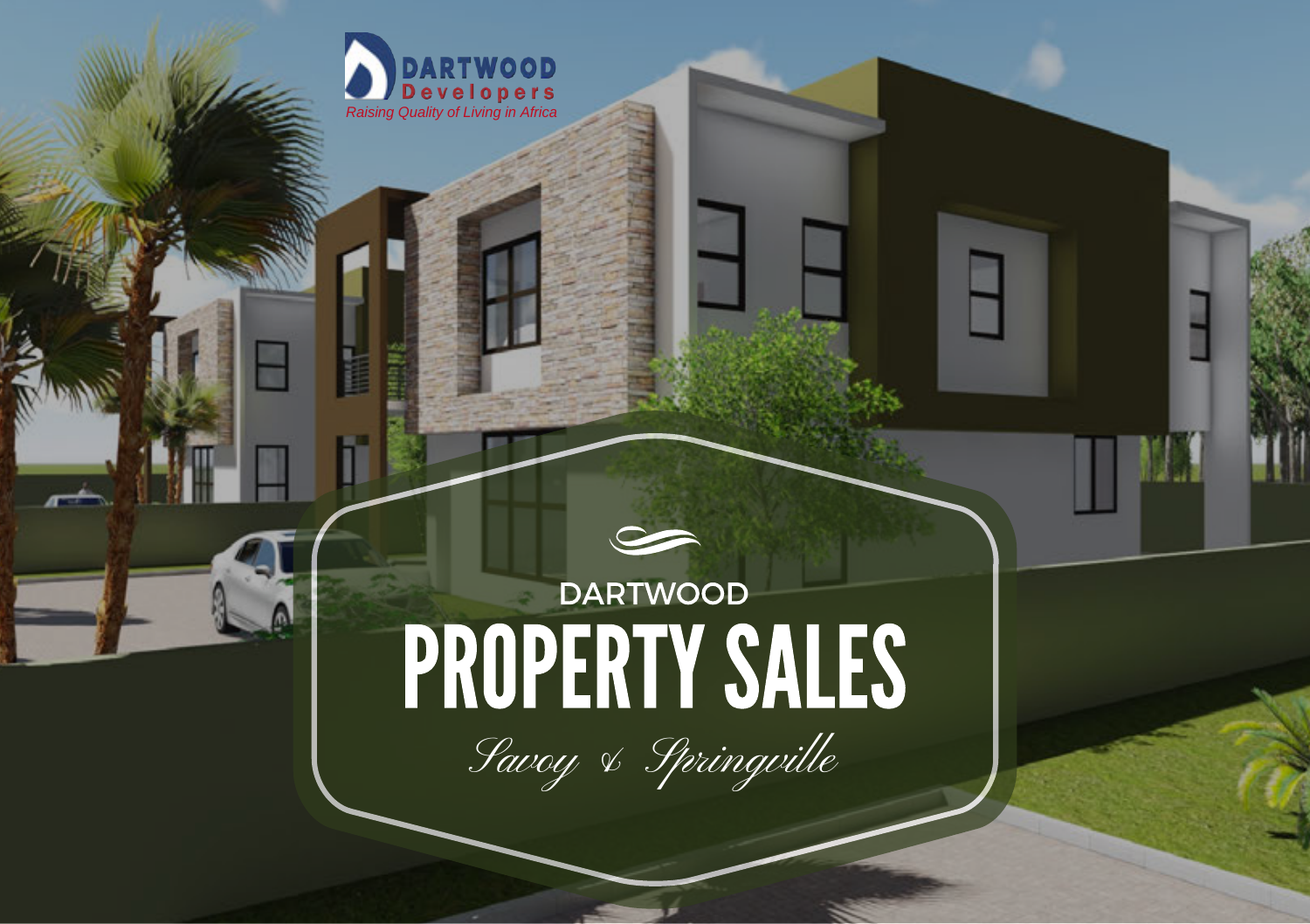

# **DARTWOOD PROPERTY SALES**

F

Savoy & Springville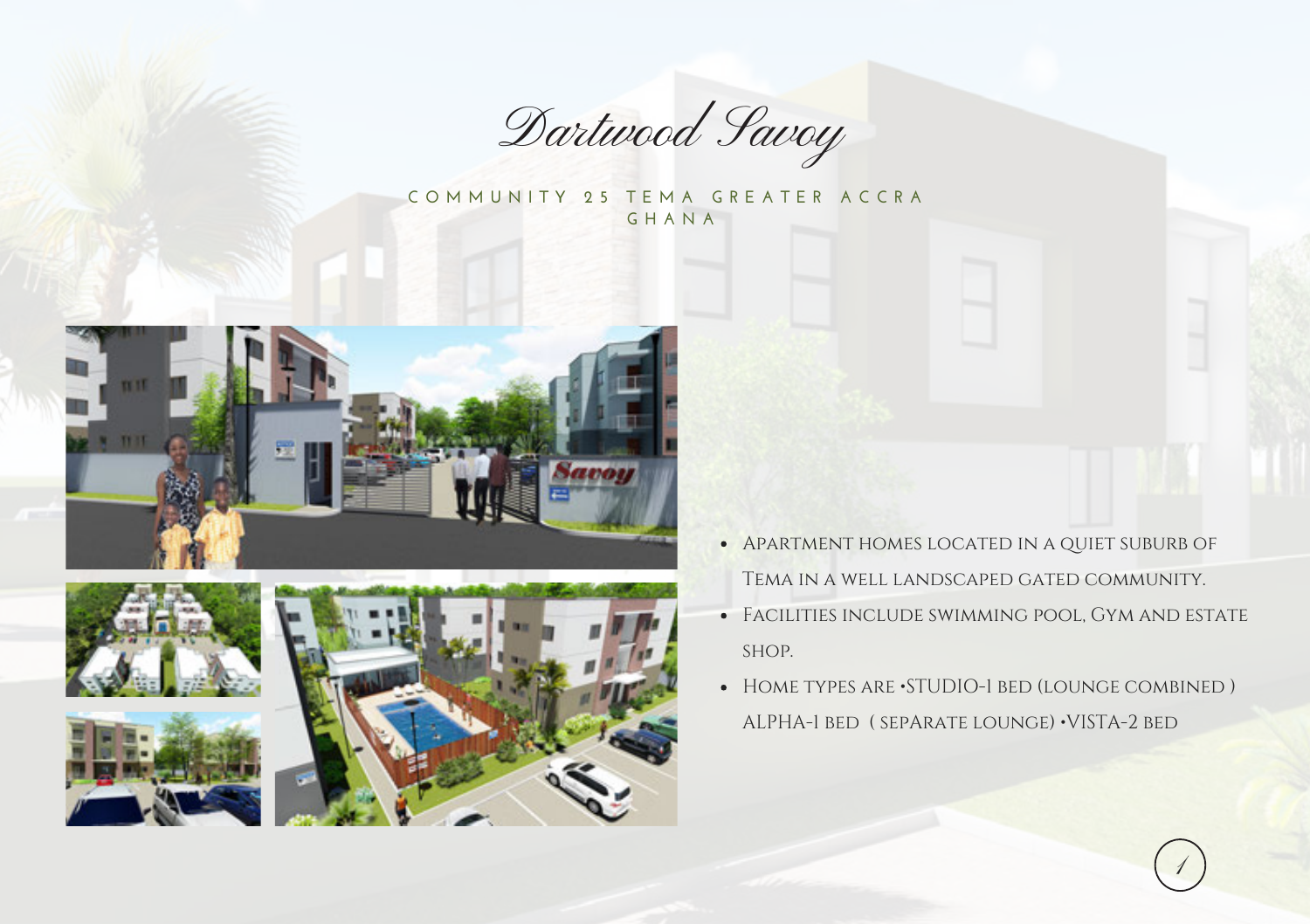

**C O M M U N I T Y 2 5 T E M A G R E A T E R A C C R A G H A N A** 









- Apartment homes located in a quiet suburb of Tema in a well landscaped gated community.
- Facilities include swimming pool, Gym and estate shop.
- HOME TYPES ARE STUDIO-1 BED (LOUNGE COMBINED) ALPHA-1 bed ( sepArate lounge) •VISTA-2 bed

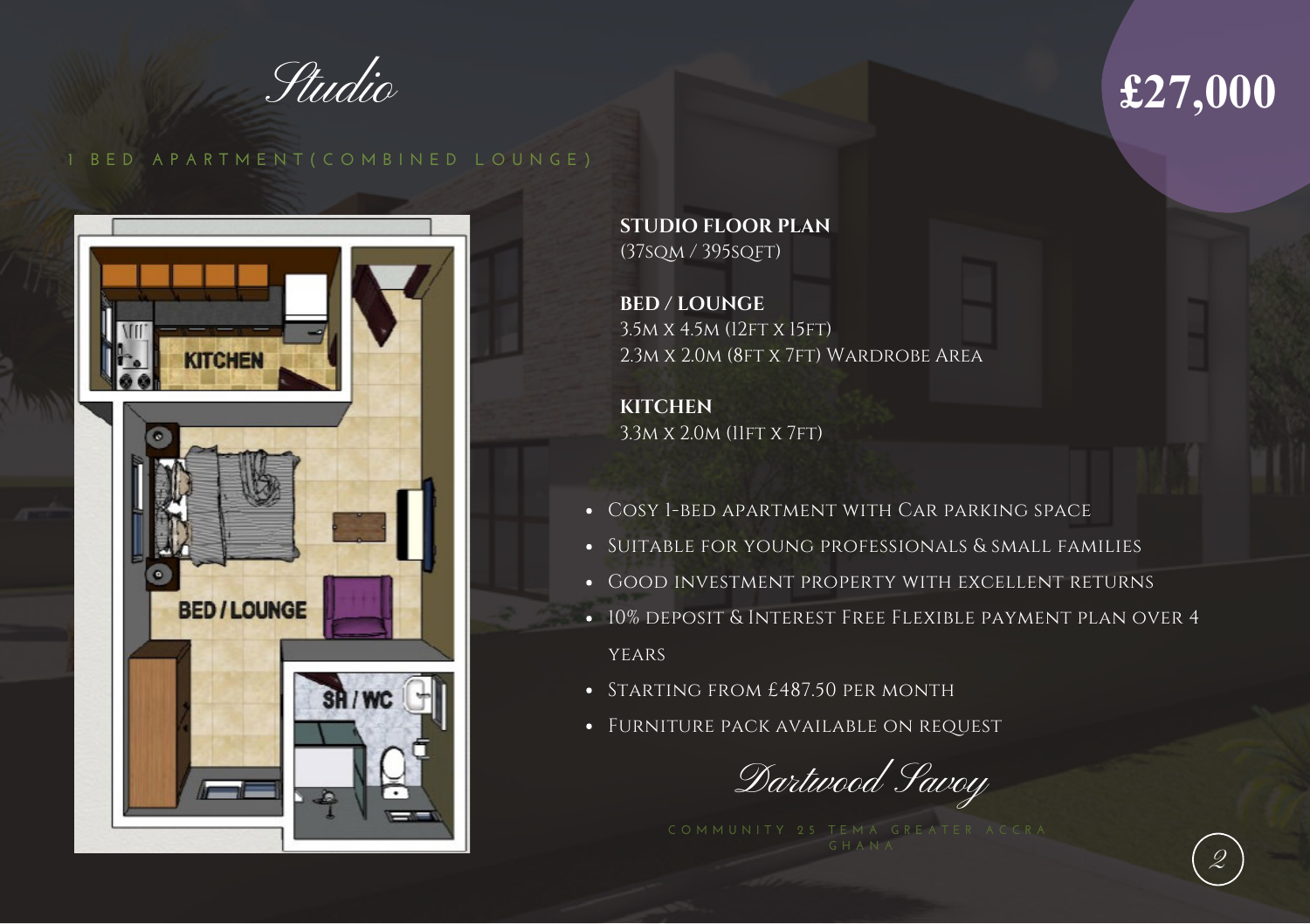Studio

## **£27,000**

2

#### **1 B E D A P A R T M E N T ( C O M B I N E D L O U N G E )**



**STUDIO FLOOR PLAN** (37sqm / 395sqFT)

**BED / LOUNGE**  3.5M X 4.5M (12FT X 15FT) 2.3m x 2.0m (8ft x 7ft) Wardrobe Area

**KITCHEN**  3.3M X 2.0M (11FT X 7FT)

- Cosy 1-bed apartment with Car parking space
- Suitable for young professionals & small families
- Good investment property with excellent returns
- $\bullet$  10% deposit & Interest Free Flexible payment plan over 4 **YEARS**
- STARTING FROM £487.50 PER MONTH
- Furniture pack available on request

Dartwood Savoy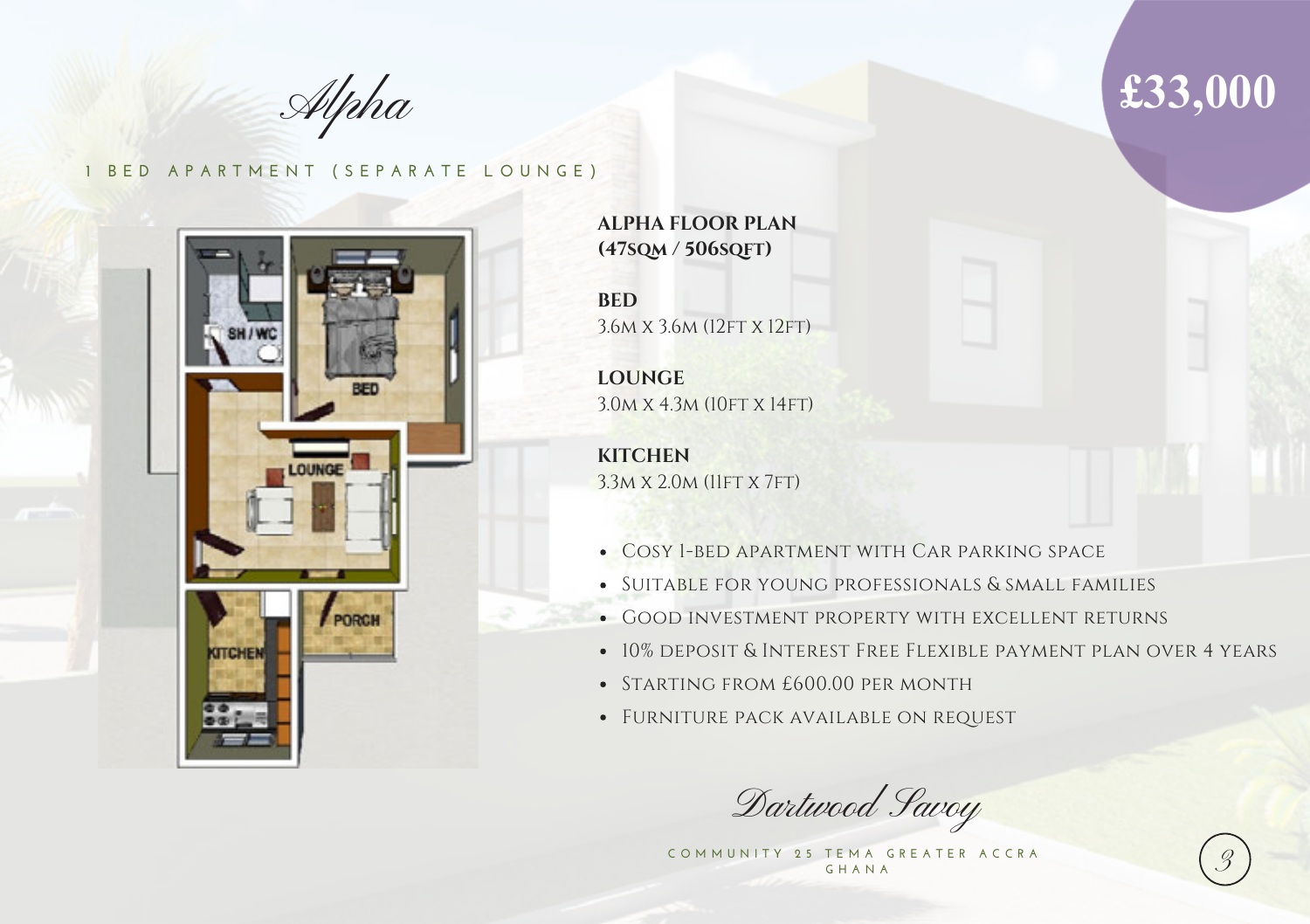Alpha

#### **1 BED APARTMENT (SEPARATE LOUNGE)**



**ALPHA FLOOR PLAN (47sqm / 506sqft)**

**BED** 3.6M x 3.6M (12FT X 12FT)

**LOUNGE** 3.0m x 4.3m (10ft x 14ft)

**KITCHEN** 3.3M X 2.0M (11FT X 7FT)

- Cosy 1-bed apartment with Car parking space
- Suitable for young professionals & small families
- Good investment property with excellent returns
- 10% deposit & Interest Free Flexible payment plan over 4 years
- STARTING FROM £600.00 PER MONTH
- Furniture pack available on request

Dartwood Savoy

COMMUNITY 25 TEMA GREATER ACCRA **G H A N A** 

## **£33,000**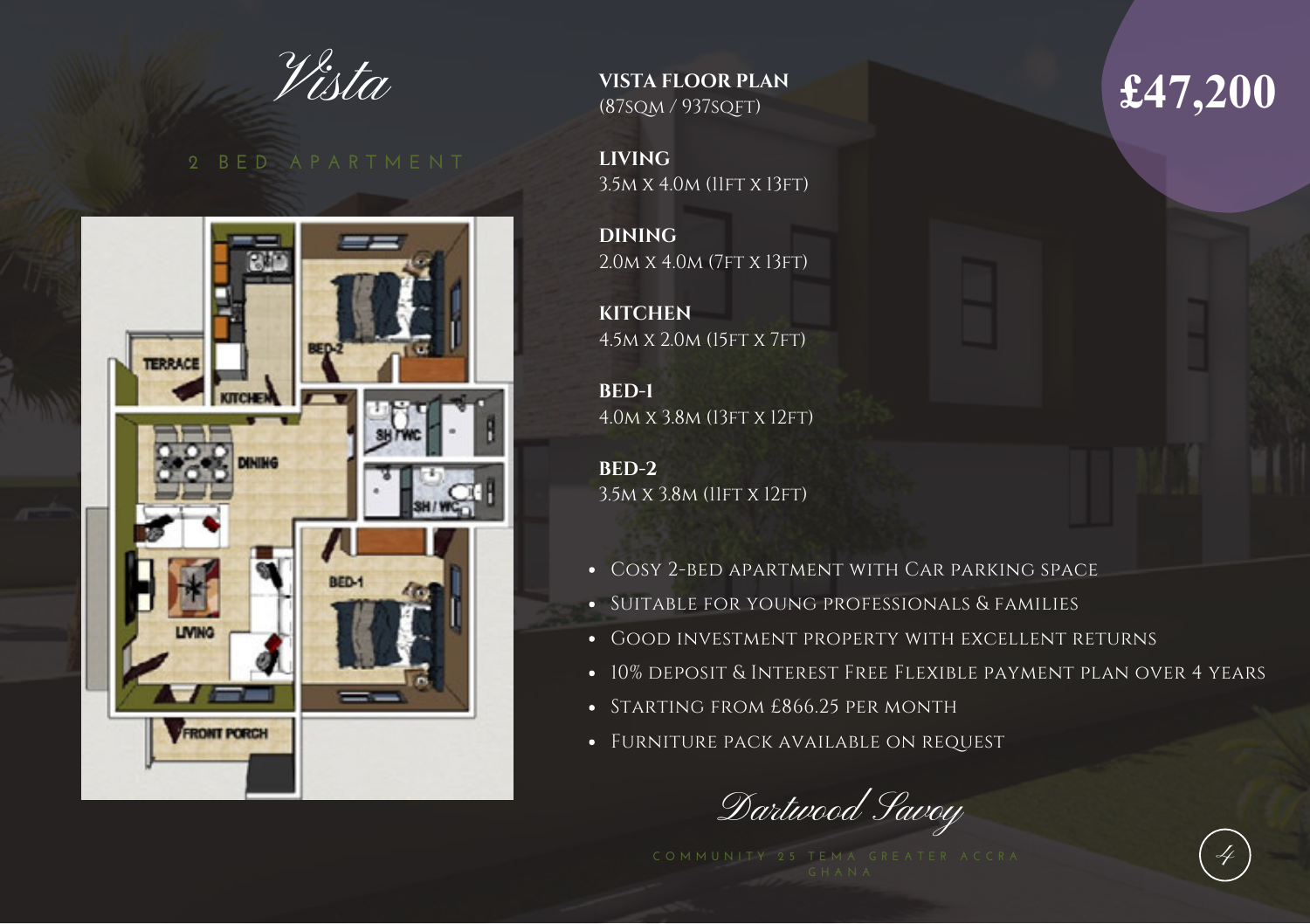Vista



**VISTA FLOOR PLAN**  (87sqm / 937sqft)

**LIVING**  3.5m x 4.0m (11ft x 13ft)

**DINING** 2.0m x 4.0m (7ft x 13ft)

**KITCHEN** 4.5m x 2.0m (15ft x 7ft)

**BED-1**  4.0m x 3.8m (13ft x 12ft)

**BED-2**  3.5M X 3.8M (11FT X 12FT)

- Cosy 2-bed apartment with Car parking space
- Suitable for young professionals & families
- Good investment property with excellent returns
- 10% deposit & Interest Free Flexible payment plan over 4 years
- STARTING FROM £866.25 PER MONTH
- Furniture pack available on request

Dartwood Savoy

## **£47,200**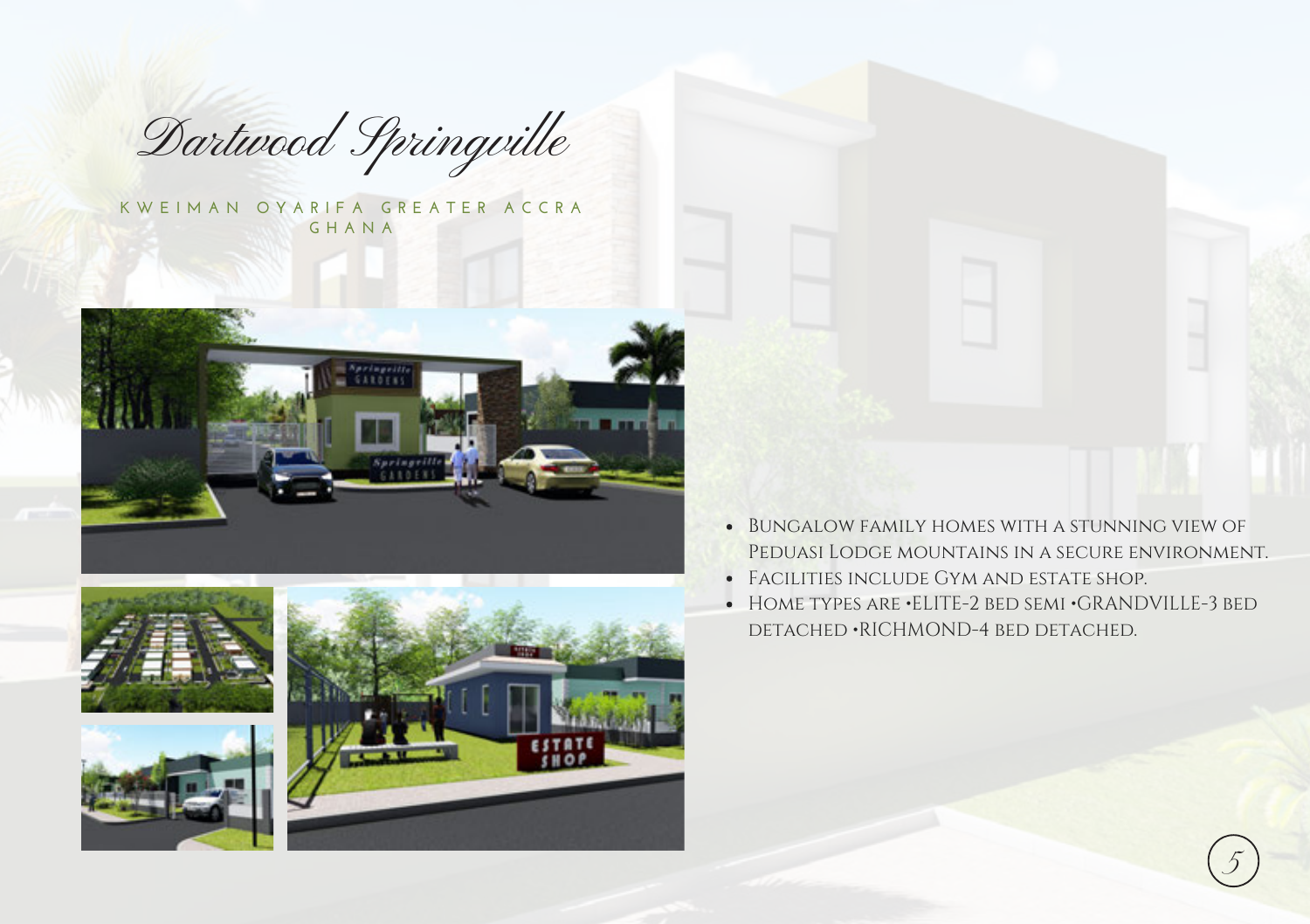Dartwood Springville

K W E I M A N O Y A R I F A G R E A T E R A C C R A **G H A N A** 











- Bungalow family homes with a stunning view of Peduasi Lodge mountains in a secure environment.
- Facilities include Gym and estate shop.
- HOME TYPES ARE •ELITE-2 BED SEMI •GRANDVILLE-3 BED detached •RICHMOND-4 bed detached.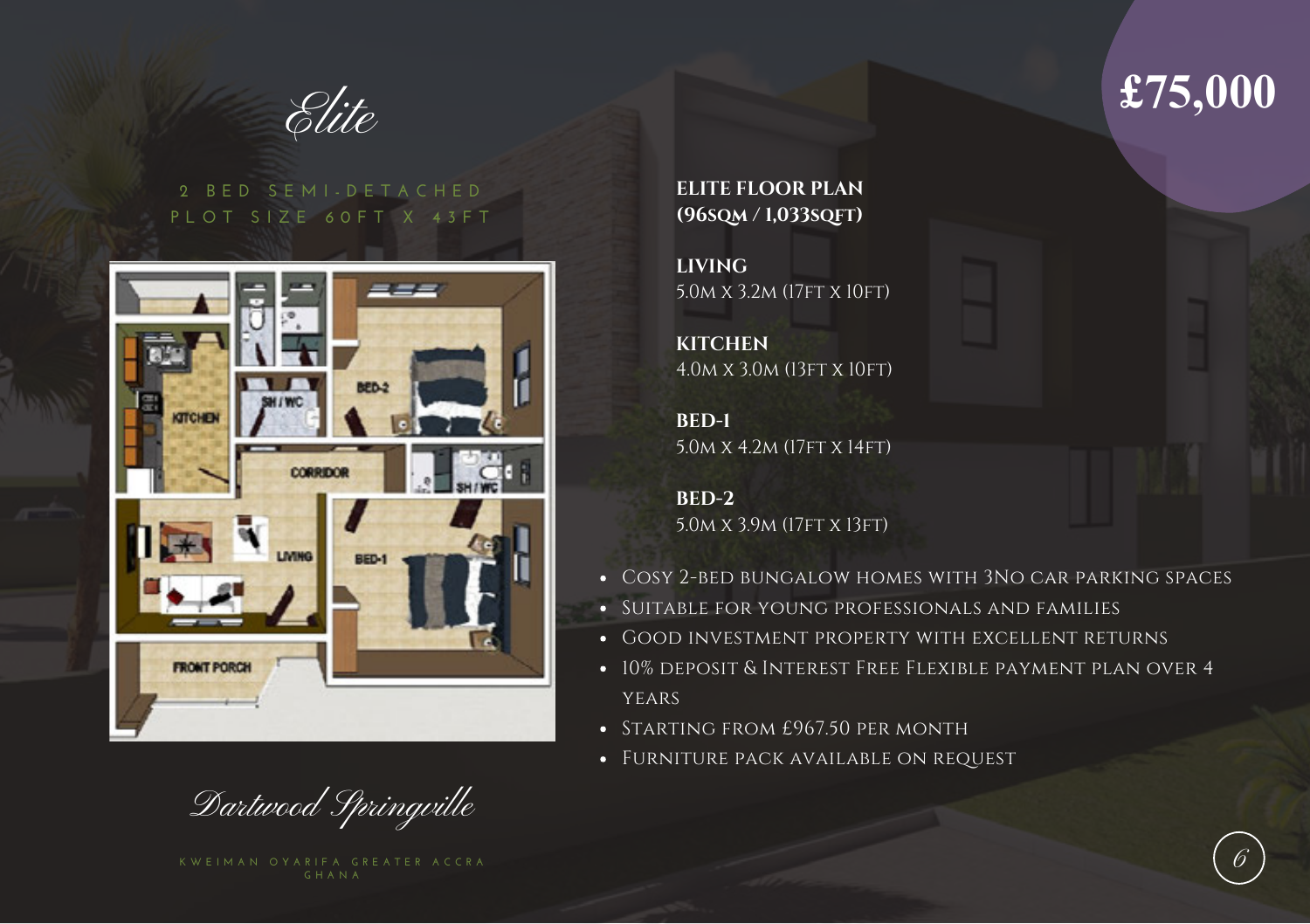

#### **2 B E D S E M I - D E T A C H E D P L O T S I Z E 6 0 F T X 4 3 F T**



Dartwood Springville

**ELITE FLOOR PLAN (96sqm / 1,033sqft)**

**LIVING** 5.0m x 3.2m (17ft x 10ft)

**KITCHEN** 4.0m x 3.0m (13ft x 10ft)

**BED-1** 5.0m x 4.2m (17ft x 14ft)

**BED-2** 5.0m x 3.9m (17ft x 13ft)

- Cosy 2-bed bungalow homes with 3No car parking spaces
- **SUITABLE FOR YOUNG PROFESSIONALS AND FAMILIES**
- **GOOD INVESTMENT PROPERTY WITH EXCELLENT RETURNS**
- 10% deposit & Interest Free Flexible payment plan over 4 **YEARS**
- STARTING FROM £967.50 PER MONTH
- Furniture pack available on request

## **£75,000**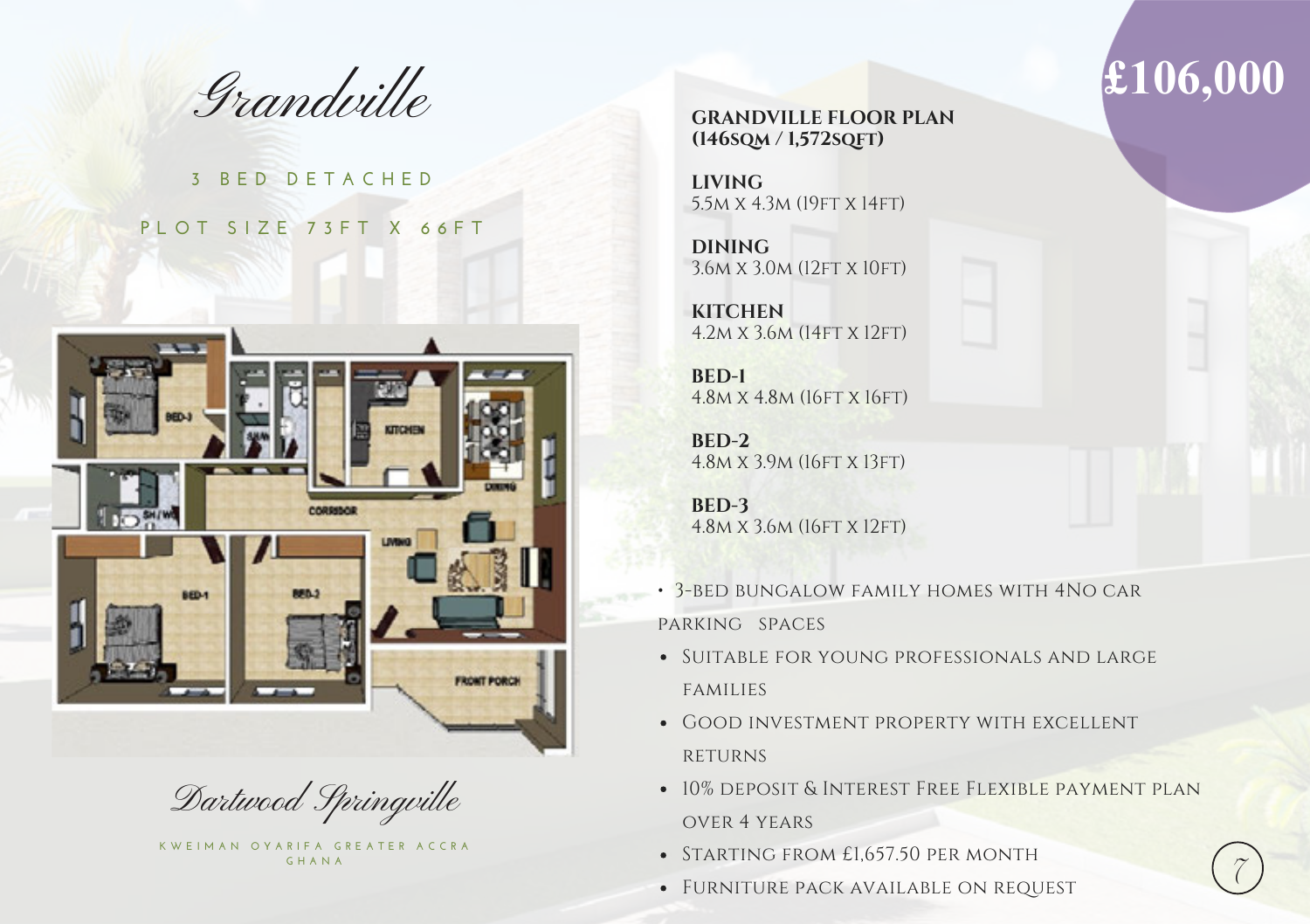

### **3 B E D D E T A C H E D P L O T S I Z E 7 3 F T X 6 6 F T**



Dartwood Springville

K W E I M A N O Y A R I F A G R E A T E R A C C R A **G H A N A** 

**GRANDVILLE FLOOR PLAN (146sqm / 1,572sqft)**

**LIVING** 5.5m x 4.3m (19ft x 14ft)

**DINING** 3.6M X 3.0M (12FT X 10FT)

**KITCHEN** 4.2m x 3.6m (14ft x 12ft)

**BED-1** 4.8m x 4.8m (16ft x 16ft)

**BED-2** 4.8m x 3.9m (16ft x 13ft)

**BED-3** 4.8<sub>M</sub> x 3.6<sub>M</sub> (16FT x 12FT)

- 3-bed bungalow family homes with 4No car parking spaces
- SUITABLE FOR YOUNG PROFESSIONALS AND LARGE families
- Good investment property with excellent **RETURNS**
- 10% deposit & Interest Free Flexible payment plan over 4 years
- STARTING FROM £1,657.50 PER MONTH
- FURNITURE PACK AVAILABLE ON REQUEST

## **£106,000**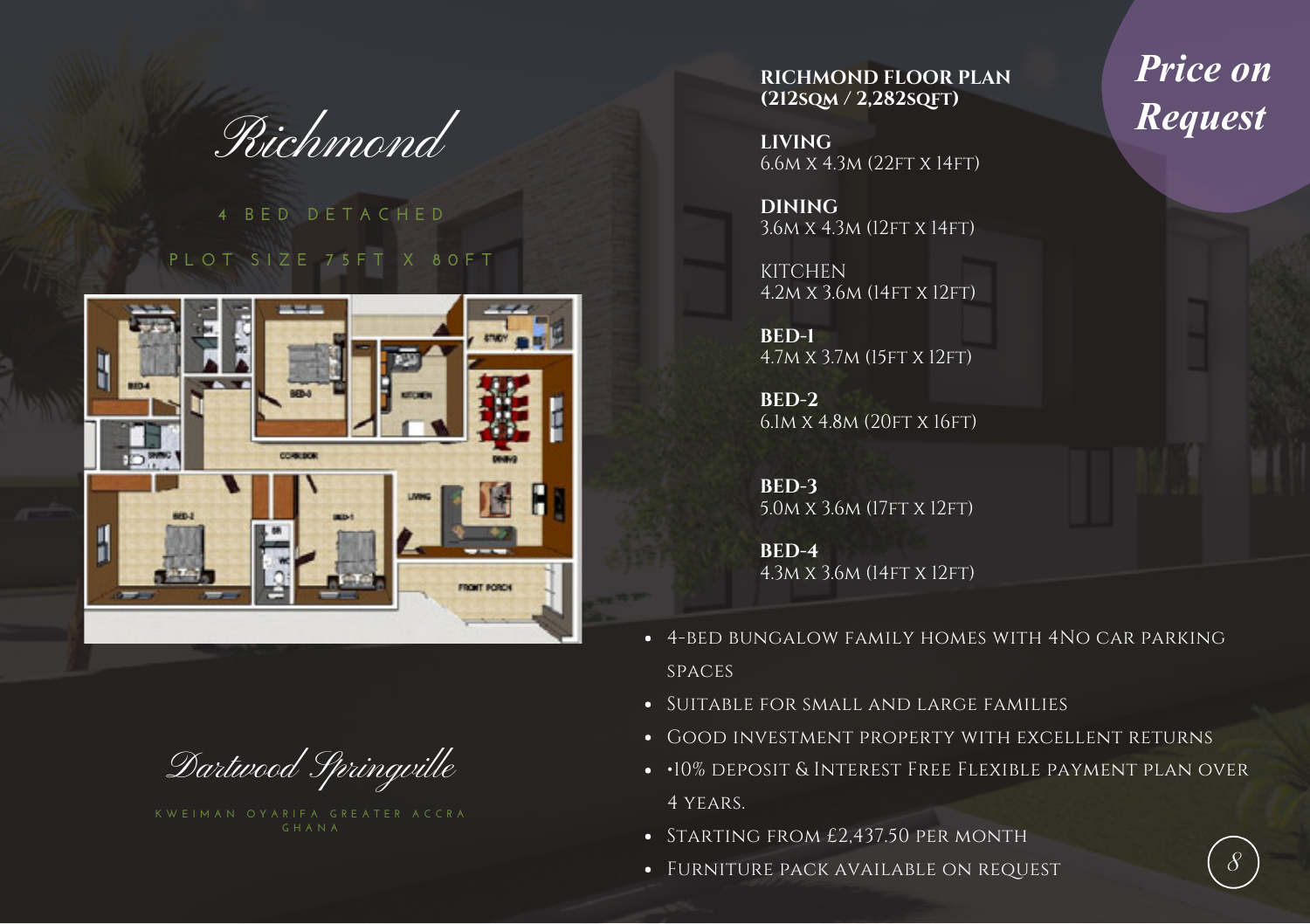Richmond

### **4 B E D D E T A C H E D P L O T S I Z E 7 5 F T X 8 0 F T**



Dartwood Springville

**RICHMOND FLOOR PLAN (212sqm / 2,282sqft)**

**LIVING** 6.6m x 4.3m (22ft x 14ft)

**DINING** 3.6m x 4.3m (12ft x 14ft)

**KITCHEN** 4.2m x 3.6m (14ft x 12ft)

**BED-1** 4.7m x 3.7m (15ft x 12ft)

**BED-2** 6.1m x 4.8m (20ft x 16ft)

**BED-3** 5.0m x 3.6m (17ft x 12ft)

**BED-4** 4.3m x 3.6m (14ft x 12ft)

- 4-bed bungalow family homes with 4No car parking spaces
- Suitable for small and large families
- Good investment property with excellent returns
- $\cdot$  10% deposit & Interest Free Flexible payment plan over 4 years.
- STARTING FROM £2,437.50 PER MONTH
- Furniture pack available on request

*Price on Request*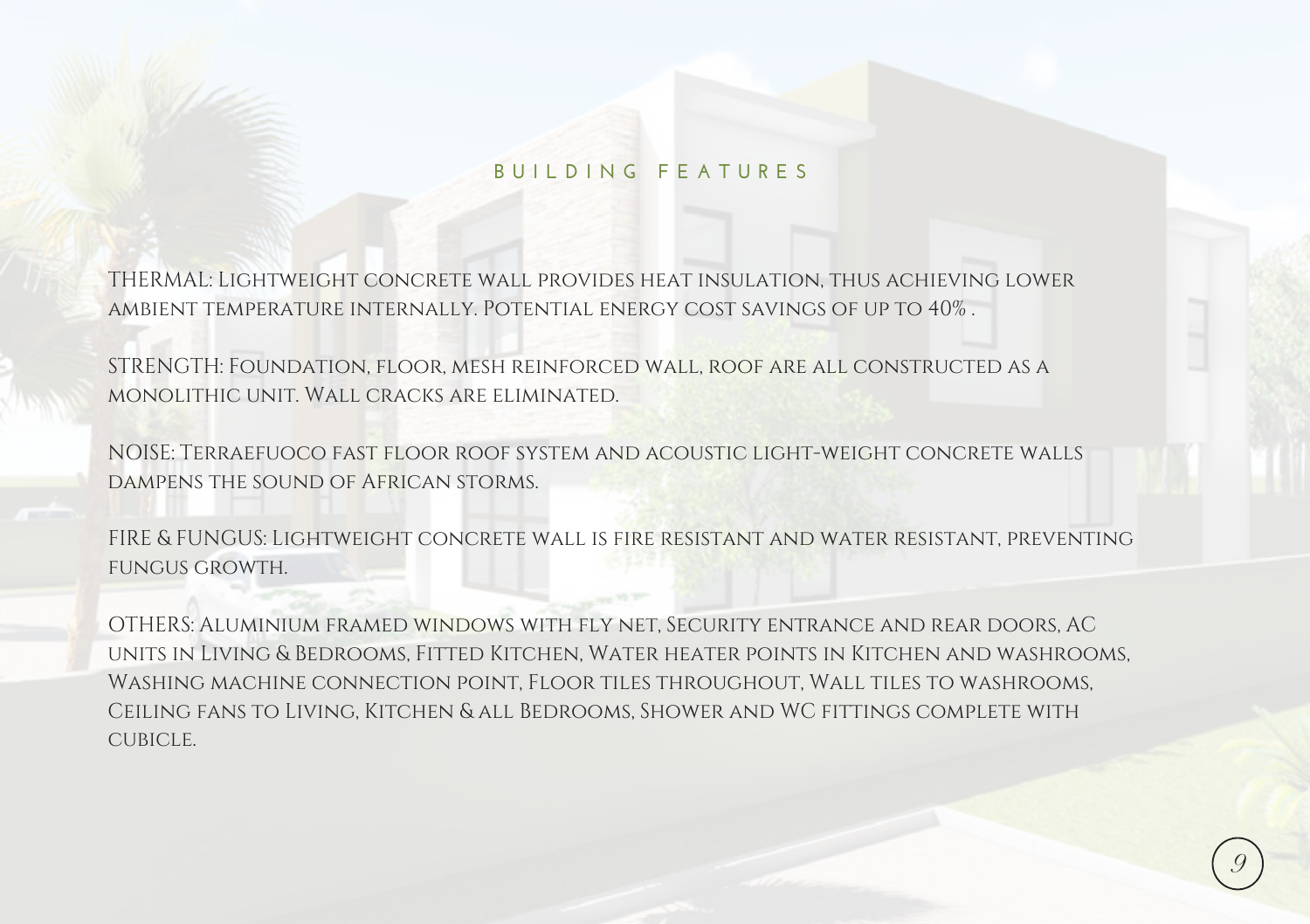#### **B U I L D I N G F E A T U R E S**

THERMAL: Lightweight concrete wall provides heat insulation, thus achieving lower ambient temperature internally. Potential energy cost savings of up to 40% .

STRENGTH: Foundation, floor, mesh reinforced wall, roof are all constructed as a monolithic unit. Wall cracks are eliminated.

NOISE: Terraefuoco fast floor roof system and acoustic light-weight concrete walls dampens the sound of African storms.

FIRE & FUNGUS: Lightweight concrete wall is fire resistant and water resistant, preventing fungus growth.

OTHERS: Aluminium framed windows with fly net, Security entrance and rear doors, AC units in Living & Bedrooms, Fitted Kitchen, Water heater points in Kitchen and washrooms, Washing machine connection point, Floor tiles throughout, Wall tiles to washrooms, Ceiling fans to Living, Kitchen & all Bedrooms, Shower and WC fittings complete with cubicle.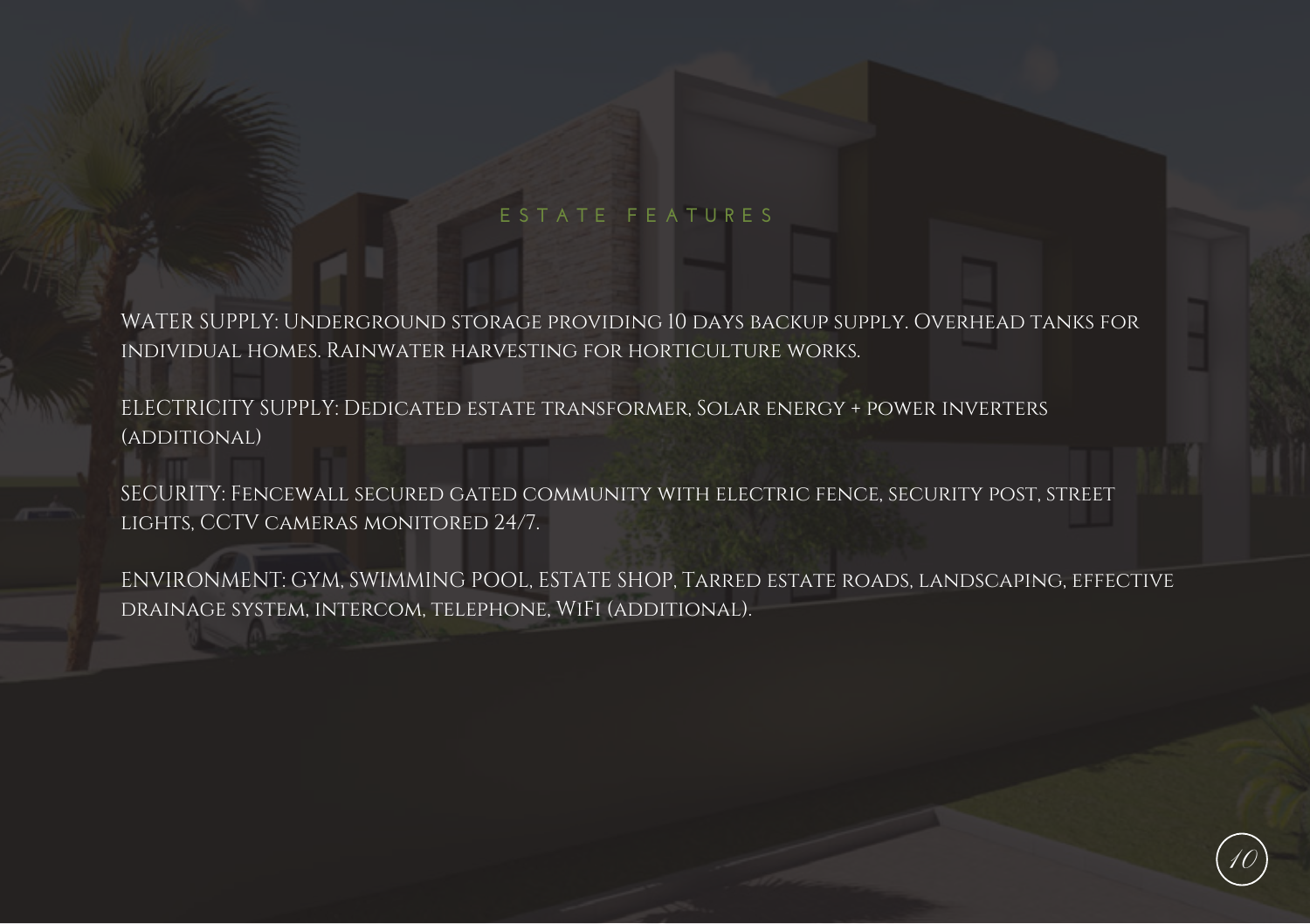#### **E S T A T E F E A T U R E S**

WATER SUPPLY: Underground storage providing 10 days backup supply. Overhead tanks for individual homes. Rainwater harvesting for horticulture works.

ELECTRICITY SUPPLY: Dedicated estate transformer, Solar energy + power inverters (additional)

SECURITY: Fencewall secured gated community with electric fence, security post, street lights, CCTV cameras monitored 24/7.

ENVIRONMENT: GYM, SWIMMING POOL, ESTATE SHOP, Tarred estate roads, landscaping, effective drainage system, intercom, telephone, WiFi (additional).